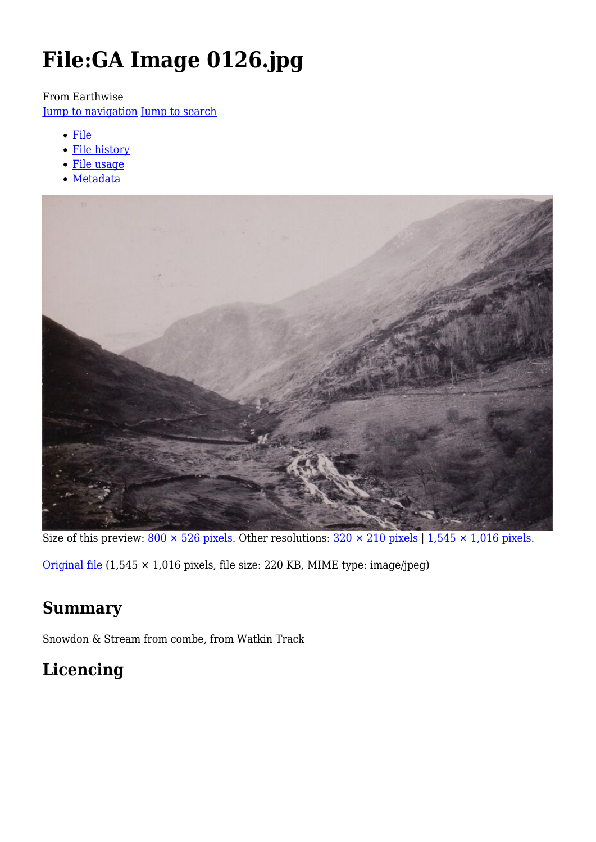# **File:GA Image 0126.jpg**

From Earthwise

[Jump to navigation](#page--1-0) [Jump to search](#page--1-0)

- [File](#page--1-0)
- [File history](#page--1-0)
- [File usage](#page--1-0)
- [Metadata](#page--1-0)



Size of this preview:  $800 \times 526$  pixels. Other resolutions:  $320 \times 210$  pixels | 1,545  $\times$  1,016 pixels.

[Original file](http://earthwise.bgs.ac.uk/images/1/10/GA_Image_0126.jpg) (1,545 × 1,016 pixels, file size: 220 KB, MIME type: image/jpeg)

# **Summary**

Snowdon & Stream from combe, from Watkin Track

# **Licencing**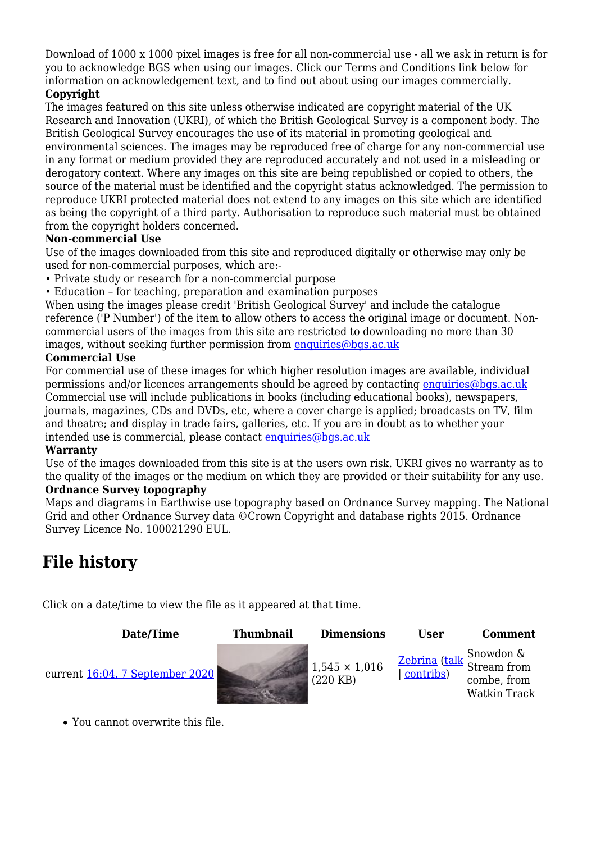Download of 1000 x 1000 pixel images is free for all non-commercial use - all we ask in return is for you to acknowledge BGS when using our images. Click our Terms and Conditions link below for information on acknowledgement text, and to find out about using our images commercially.

#### **Copyright**

The images featured on this site unless otherwise indicated are copyright material of the UK Research and Innovation (UKRI), of which the British Geological Survey is a component body. The British Geological Survey encourages the use of its material in promoting geological and environmental sciences. The images may be reproduced free of charge for any non-commercial use in any format or medium provided they are reproduced accurately and not used in a misleading or derogatory context. Where any images on this site are being republished or copied to others, the source of the material must be identified and the copyright status acknowledged. The permission to reproduce UKRI protected material does not extend to any images on this site which are identified as being the copyright of a third party. Authorisation to reproduce such material must be obtained from the copyright holders concerned.

#### **Non-commercial Use**

Use of the images downloaded from this site and reproduced digitally or otherwise may only be used for non-commercial purposes, which are:-

- Private study or research for a non-commercial purpose
- Education for teaching, preparation and examination purposes

When using the images please credit 'British Geological Survey' and include the catalogue reference ('P Number') of the item to allow others to access the original image or document. Noncommercial users of the images from this site are restricted to downloading no more than 30 images, without seeking further permission from [enquiries@bgs.ac.uk](mailto:enquiries@bgs.ac.uk)

#### **Commercial Use**

For commercial use of these images for which higher resolution images are available, individual permissions and/or licences arrangements should be agreed by contacting [enquiries@bgs.ac.uk](mailto:enquiries@bgs.ac.uk) Commercial use will include publications in books (including educational books), newspapers, journals, magazines, CDs and DVDs, etc, where a cover charge is applied; broadcasts on TV, film and theatre; and display in trade fairs, galleries, etc. If you are in doubt as to whether your intended use is commercial, please contact [enquiries@bgs.ac.uk](mailto:enquiries@bgs.ac.uk)

#### **Warranty**

Use of the images downloaded from this site is at the users own risk. UKRI gives no warranty as to the quality of the images or the medium on which they are provided or their suitability for any use. **Ordnance Survey topography**

Maps and diagrams in Earthwise use topography based on Ordnance Survey mapping. The National Grid and other Ordnance Survey data ©Crown Copyright and database rights 2015. Ordnance Survey Licence No. 100021290 EUL.

### **File history**

Click on a date/time to view the file as it appeared at that time.



You cannot overwrite this file.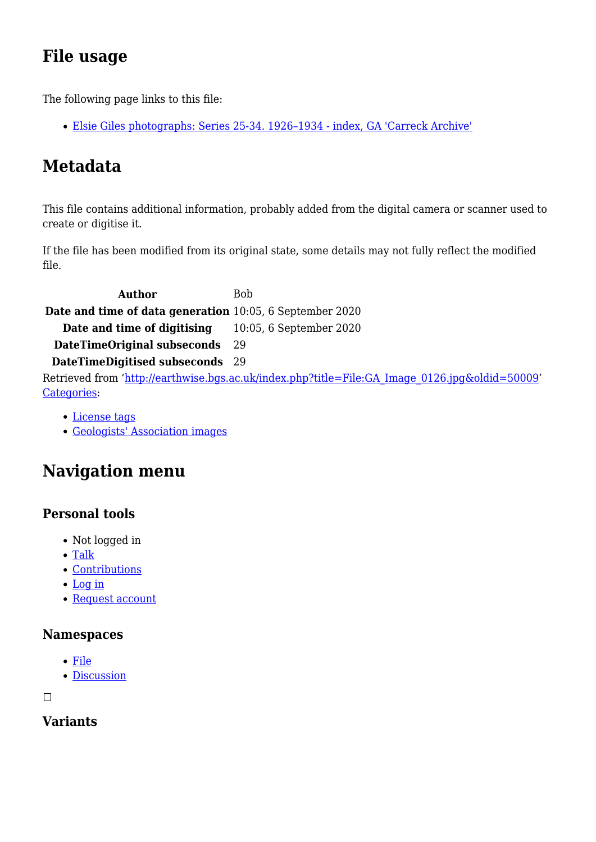# **File usage**

The following page links to this file:

[Elsie Giles photographs: Series 25-34. 1926–1934 - index, GA 'Carreck Archive'](http://earthwise.bgs.ac.uk/index.php/Elsie_Giles_photographs:_Series_25-34._1926%E2%80%931934_-_index,_GA_%27Carreck_Archive%27)

# **Metadata**

This file contains additional information, probably added from the digital camera or scanner used to create or digitise it.

If the file has been modified from its original state, some details may not fully reflect the modified file.

Author Bob **Date and time of data generation** 10:05, 6 September 2020 **Date and time of digitising** 10:05, 6 September 2020 **DateTimeOriginal subseconds** 29 **DateTimeDigitised subseconds** 29 Retrieved from ['http://earthwise.bgs.ac.uk/index.php?title=File:GA\\_Image\\_0126.jpg&oldid=50009](http://earthwise.bgs.ac.uk/index.php?title=File:GA_Image_0126.jpg&oldid=50009)' [Categories:](http://earthwise.bgs.ac.uk/index.php/Special:Categories)

- [License tags](http://earthwise.bgs.ac.uk/index.php/Category:License_tags)
- [Geologists' Association images](http://earthwise.bgs.ac.uk/index.php/Category:Geologists%27_Association_images)

# **Navigation menu**

### **Personal tools**

- Not logged in
- [Talk](http://earthwise.bgs.ac.uk/index.php/Special:MyTalk)
- [Contributions](http://earthwise.bgs.ac.uk/index.php/Special:MyContributions)
- [Log in](http://earthwise.bgs.ac.uk/index.php?title=Special:UserLogin&returnto=File%3AGA+Image+0126.jpg&returntoquery=action%3Dmpdf)
- [Request account](http://earthwise.bgs.ac.uk/index.php/Special:RequestAccount)

#### **Namespaces**

- [File](http://earthwise.bgs.ac.uk/index.php/File:GA_Image_0126.jpg)
- [Discussion](http://earthwise.bgs.ac.uk/index.php?title=File_talk:GA_Image_0126.jpg&action=edit&redlink=1)

 $\Box$ 

### **Variants**